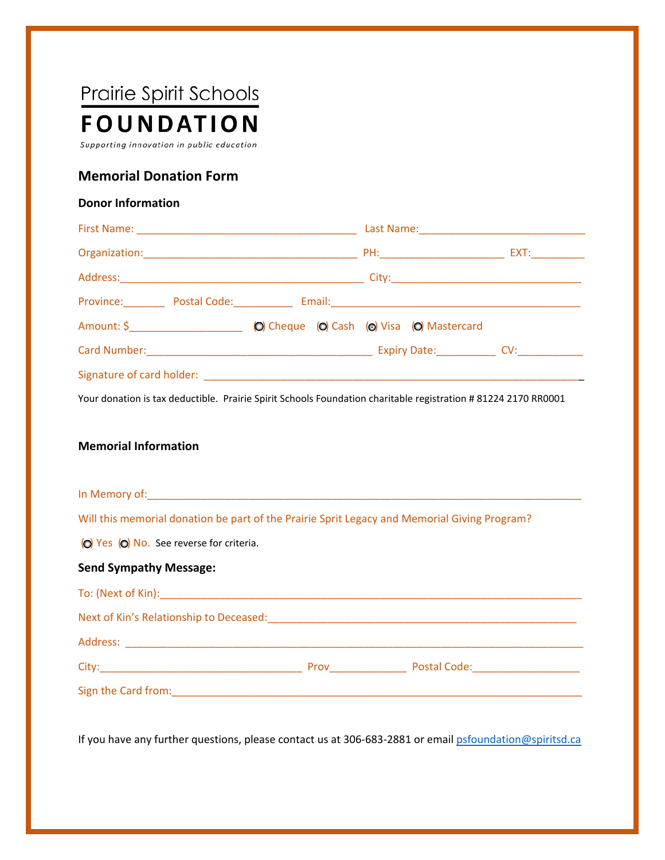# Prairie Spirit Schools **FOUNDATION**

Supporting innovation in public education

## **Memorial Donation Form**

#### **Donor Information**

| Province: Postal Code: Email: Email: Province: Province: Postal Code: Province: Province: Province: P |                                             |  |  |
|-------------------------------------------------------------------------------------------------------|---------------------------------------------|--|--|
| Amount: \$                                                                                            | (O) Cheque (O) Cash (o) Visa (O) Mastercard |  |  |
|                                                                                                       |                                             |  |  |
|                                                                                                       |                                             |  |  |

Your donation is tax deductible. Prairie Spirit Schools Foundation charitable registration # 81224 2170 RR0001

#### **Memorial Information**

| In Memory of:                                                                                |  |
|----------------------------------------------------------------------------------------------|--|
| Will this memorial donation be part of the Prairie Sprit Legacy and Memorial Giving Program? |  |
| (O) Yes (O) No. See reverse for criteria.                                                    |  |

### **Send Sympathy Message:**

| To: (Next of Kin):                      |      |              |  |  |  |  |
|-----------------------------------------|------|--------------|--|--|--|--|
| Next of Kin's Relationship to Deceased: |      |              |  |  |  |  |
|                                         |      |              |  |  |  |  |
| City:                                   | Prov | Postal Code: |  |  |  |  |
| Sign the Card from:                     |      |              |  |  |  |  |

If you have any further questions, please contact us at 306-683-2881 or email psfoundation@spiritsd.ca